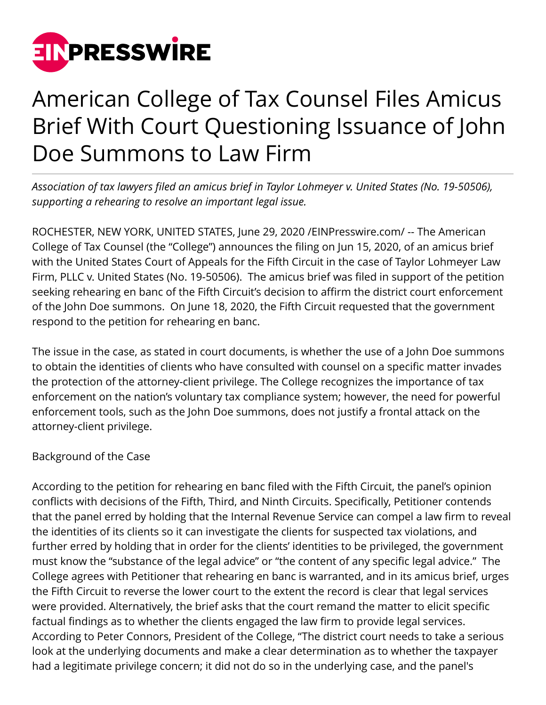

## American College of Tax Counsel Files Amicus Brief With Court Questioning Issuance of John Doe Summons to Law Firm

*Association of tax lawyers filed an amicus brief in Taylor Lohmeyer v. United States (No. 19-50506), supporting a rehearing to resolve an important legal issue.*

ROCHESTER, NEW YORK, UNITED STATES, June 29, 2020 [/EINPresswire.com/](http://www.einpresswire.com) -- The American College of Tax Counsel (the "College") announces the filing on Jun 15, 2020, of an amicus brief with the United States Court of Appeals for the Fifth Circuit in the case of Taylor Lohmeyer Law Firm, PLLC v. United States (No. 19-50506). The amicus brief was filed in support of the petition seeking rehearing en banc of the Fifth Circuit's decision to affirm the district court enforcement of the John Doe summons. On June 18, 2020, the Fifth Circuit requested that the government respond to the petition for rehearing en banc.

The issue in the case, as stated in court documents, is whether the use of a John Doe summons to obtain the identities of clients who have consulted with counsel on a specific matter invades the protection of the attorney-client privilege. The College recognizes the importance of tax enforcement on the nation's voluntary tax compliance system; however, the need for powerful enforcement tools, such as the John Doe summons, does not justify a frontal attack on the attorney-client privilege.

## Background of the Case

According to the petition for rehearing en banc filed with the Fifth Circuit, the panel's opinion conflicts with decisions of the Fifth, Third, and Ninth Circuits. Specifically, Petitioner contends that the panel erred by holding that the Internal Revenue Service can compel a law firm to reveal the identities of its clients so it can investigate the clients for suspected tax violations, and further erred by holding that in order for the clients' identities to be privileged, the government must know the "substance of the legal advice" or "the content of any specific legal advice." The College agrees with Petitioner that rehearing en banc is warranted, and in its amicus brief, urges the Fifth Circuit to reverse the lower court to the extent the record is clear that legal services were provided. Alternatively, the brief asks that the court remand the matter to elicit specific factual findings as to whether the clients engaged the law firm to provide legal services. According to Peter Connors, President of the College, "The district court needs to take a serious look at the underlying documents and make a clear determination as to whether the taxpayer had a legitimate privilege concern; it did not do so in the underlying case, and the panel's